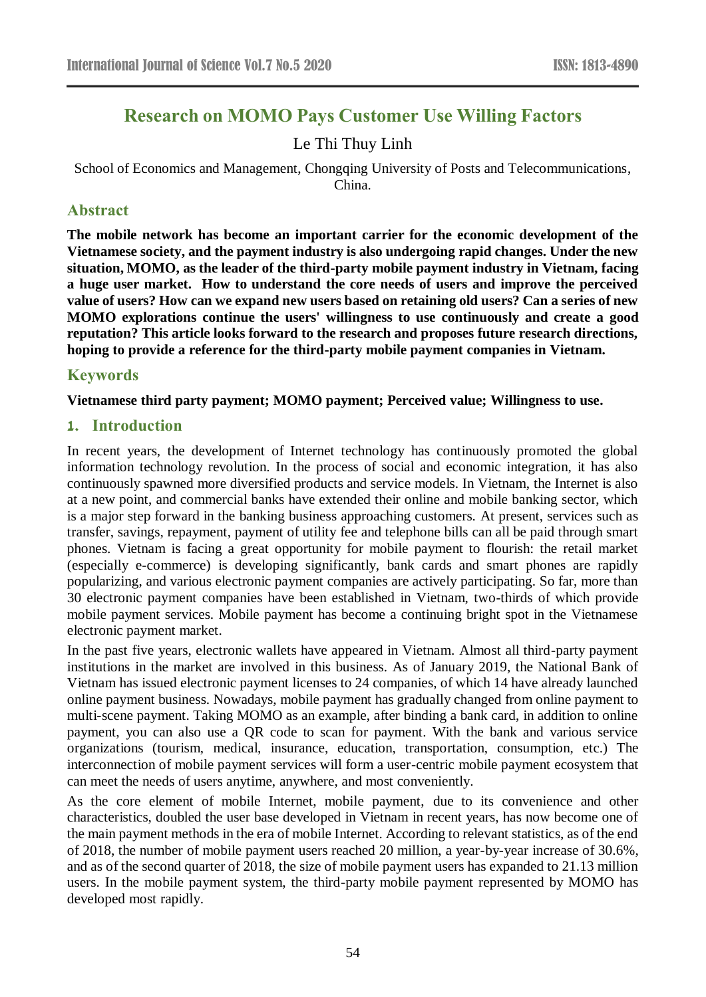# **Research on MOMO Pays Customer Use Willing Factors**

# Le Thi Thuy Linh

School of Economics and Management, Chongqing University of Posts and Telecommunications, China.

# **Abstract**

**The mobile network has become an important carrier for the economic development of the Vietnamese society, and the payment industry is also undergoing rapid changes. Under the new situation, MOMO, as the leader of the third-party mobile payment industry in Vietnam, facing a huge user market. How to understand the core needs of users and improve the perceived value of users? How can we expand new users based on retaining old users? Can a series of new MOMO explorations continue the users' willingness to use continuously and create a good reputation? This article looks forward to the research and proposes future research directions, hoping to provide a reference for the third-party mobile payment companies in Vietnam.**

### **Keywords**

**Vietnamese third party payment; MOMO payment; Perceived value; Willingness to use.**

#### **1. Introduction**

In recent years, the development of Internet technology has continuously promoted the global information technology revolution. In the process of social and economic integration, it has also continuously spawned more diversified products and service models. In Vietnam, the Internet is also at a new point, and commercial banks have extended their online and mobile banking sector, which is a major step forward in the banking business approaching customers. At present, services such as transfer, savings, repayment, payment of utility fee and telephone bills can all be paid through smart phones. Vietnam is facing a great opportunity for mobile payment to flourish: the retail market (especially e-commerce) is developing significantly, bank cards and smart phones are rapidly popularizing, and various electronic payment companies are actively participating. So far, more than 30 electronic payment companies have been established in Vietnam, two-thirds of which provide mobile payment services. Mobile payment has become a continuing bright spot in the Vietnamese electronic payment market.

In the past five years, electronic wallets have appeared in Vietnam. Almost all third-party payment institutions in the market are involved in this business. As of January 2019, the National Bank of Vietnam has issued electronic payment licenses to 24 companies, of which 14 have already launched online payment business. Nowadays, mobile payment has gradually changed from online payment to multi-scene payment. Taking MOMO as an example, after binding a bank card, in addition to online payment, you can also use a QR code to scan for payment. With the bank and various service organizations (tourism, medical, insurance, education, transportation, consumption, etc.) The interconnection of mobile payment services will form a user-centric mobile payment ecosystem that can meet the needs of users anytime, anywhere, and most conveniently.

As the core element of mobile Internet, mobile payment, due to its convenience and other characteristics, doubled the user base developed in Vietnam in recent years, has now become one of the main payment methods in the era of mobile Internet. According to relevant statistics, as of the end of 2018, the number of mobile payment users reached 20 million, a year-by-year increase of 30.6%, and as of the second quarter of 2018, the size of mobile payment users has expanded to 21.13 million users. In the mobile payment system, the third-party mobile payment represented by MOMO has developed most rapidly.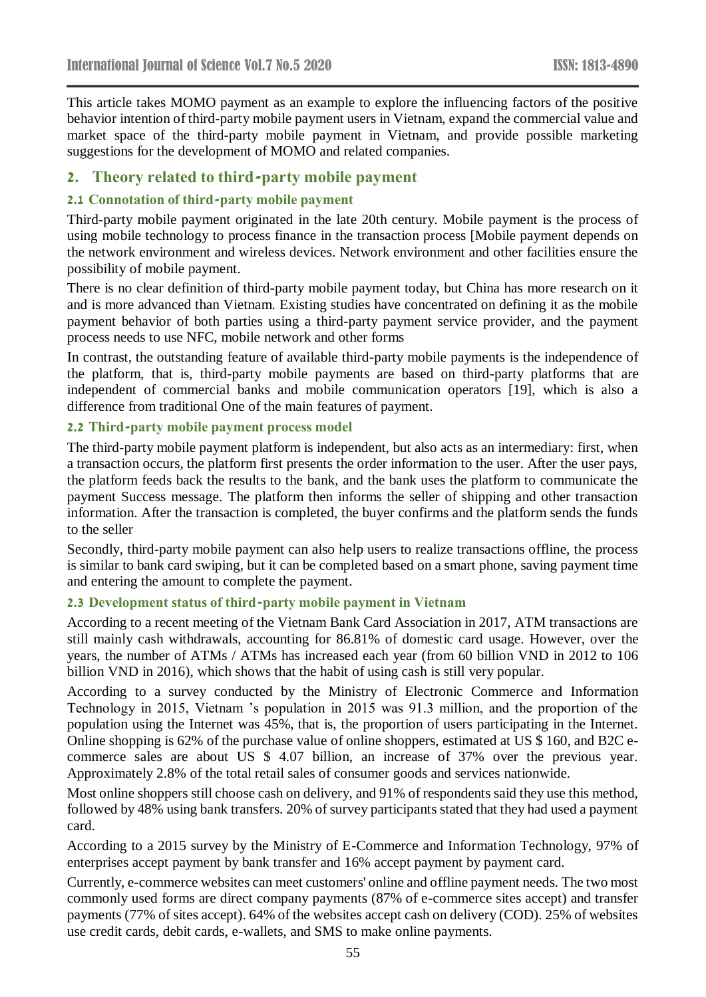This article takes MOMO payment as an example to explore the influencing factors of the positive behavior intention of third-party mobile payment users in Vietnam, expand the commercial value and market space of the third-party mobile payment in Vietnam, and provide possible marketing suggestions for the development of MOMO and related companies.

# **2. Theory related to third-party mobile payment**

#### **2.1 Connotation of third-party mobile payment**

Third-party mobile payment originated in the late 20th century. Mobile payment is the process of using mobile technology to process finance in the transaction process [Mobile payment depends on the network environment and wireless devices. Network environment and other facilities ensure the possibility of mobile payment.

There is no clear definition of third-party mobile payment today, but China has more research on it and is more advanced than Vietnam. Existing studies have concentrated on defining it as the mobile payment behavior of both parties using a third-party payment service provider, and the payment process needs to use NFC, mobile network and other forms

In contrast, the outstanding feature of available third-party mobile payments is the independence of the platform, that is, third-party mobile payments are based on third-party platforms that are independent of commercial banks and mobile communication operators [19], which is also a difference from traditional One of the main features of payment.

#### **2.2 Third-party mobile payment process model**

The third-party mobile payment platform is independent, but also acts as an intermediary: first, when a transaction occurs, the platform first presents the order information to the user. After the user pays, the platform feeds back the results to the bank, and the bank uses the platform to communicate the payment Success message. The platform then informs the seller of shipping and other transaction information. After the transaction is completed, the buyer confirms and the platform sends the funds to the seller

Secondly, third-party mobile payment can also help users to realize transactions offline, the process is similar to bank card swiping, but it can be completed based on a smart phone, saving payment time and entering the amount to complete the payment.

### **2.3 Development status of third-party mobile payment in Vietnam**

According to a recent meeting of the Vietnam Bank Card Association in 2017, ATM transactions are still mainly cash withdrawals, accounting for 86.81% of domestic card usage. However, over the years, the number of ATMs / ATMs has increased each year (from 60 billion VND in 2012 to 106 billion VND in 2016), which shows that the habit of using cash is still very popular.

According to a survey conducted by the Ministry of Electronic Commerce and Information Technology in 2015, Vietnam 's population in 2015 was 91.3 million, and the proportion of the population using the Internet was 45%, that is, the proportion of users participating in the Internet. Online shopping is 62% of the purchase value of online shoppers, estimated at US \$ 160, and B2C ecommerce sales are about US \$ 4.07 billion, an increase of 37% over the previous year. Approximately 2.8% of the total retail sales of consumer goods and services nationwide.

Most online shoppers still choose cash on delivery, and 91% of respondents said they use this method, followed by 48% using bank transfers. 20% of survey participants stated that they had used a payment card.

According to a 2015 survey by the Ministry of E-Commerce and Information Technology, 97% of enterprises accept payment by bank transfer and 16% accept payment by payment card.

Currently, e-commerce websites can meet customers' online and offline payment needs. The two most commonly used forms are direct company payments (87% of e-commerce sites accept) and transfer payments (77% of sites accept). 64% of the websites accept cash on delivery (COD). 25% of websites use credit cards, debit cards, e-wallets, and SMS to make online payments.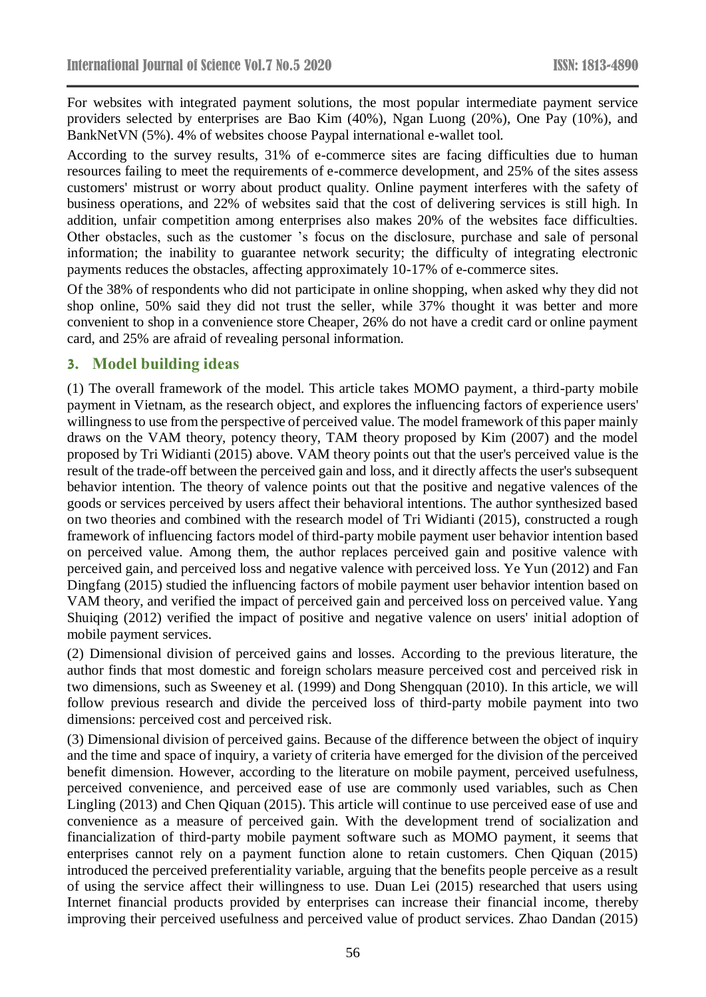For websites with integrated payment solutions, the most popular intermediate payment service providers selected by enterprises are Bao Kim (40%), Ngan Luong (20%), One Pay (10%), and BankNetVN (5%). 4% of websites choose Paypal international e-wallet tool.

According to the survey results, 31% of e-commerce sites are facing difficulties due to human resources failing to meet the requirements of e-commerce development, and 25% of the sites assess customers' mistrust or worry about product quality. Online payment interferes with the safety of business operations, and 22% of websites said that the cost of delivering services is still high. In addition, unfair competition among enterprises also makes 20% of the websites face difficulties. Other obstacles, such as the customer 's focus on the disclosure, purchase and sale of personal information; the inability to guarantee network security; the difficulty of integrating electronic payments reduces the obstacles, affecting approximately 10-17% of e-commerce sites.

Of the 38% of respondents who did not participate in online shopping, when asked why they did not shop online, 50% said they did not trust the seller, while 37% thought it was better and more convenient to shop in a convenience store Cheaper, 26% do not have a credit card or online payment card, and 25% are afraid of revealing personal information.

# **3. Model building ideas**

(1) The overall framework of the model. This article takes MOMO payment, a third-party mobile payment in Vietnam, as the research object, and explores the influencing factors of experience users' willingness to use from the perspective of perceived value. The model framework of this paper mainly draws on the VAM theory, potency theory, TAM theory proposed by Kim (2007) and the model proposed by Tri Widianti (2015) above. VAM theory points out that the user's perceived value is the result of the trade-off between the perceived gain and loss, and it directly affects the user's subsequent behavior intention. The theory of valence points out that the positive and negative valences of the goods or services perceived by users affect their behavioral intentions. The author synthesized based on two theories and combined with the research model of Tri Widianti (2015), constructed a rough framework of influencing factors model of third-party mobile payment user behavior intention based on perceived value. Among them, the author replaces perceived gain and positive valence with perceived gain, and perceived loss and negative valence with perceived loss. Ye Yun (2012) and Fan Dingfang (2015) studied the influencing factors of mobile payment user behavior intention based on VAM theory, and verified the impact of perceived gain and perceived loss on perceived value. Yang Shuiqing (2012) verified the impact of positive and negative valence on users' initial adoption of mobile payment services.

(2) Dimensional division of perceived gains and losses. According to the previous literature, the author finds that most domestic and foreign scholars measure perceived cost and perceived risk in two dimensions, such as Sweeney et al. (1999) and Dong Shengquan (2010). In this article, we will follow previous research and divide the perceived loss of third-party mobile payment into two dimensions: perceived cost and perceived risk.

(3) Dimensional division of perceived gains. Because of the difference between the object of inquiry and the time and space of inquiry, a variety of criteria have emerged for the division of the perceived benefit dimension. However, according to the literature on mobile payment, perceived usefulness, perceived convenience, and perceived ease of use are commonly used variables, such as Chen Lingling (2013) and Chen Qiquan (2015). This article will continue to use perceived ease of use and convenience as a measure of perceived gain. With the development trend of socialization and financialization of third-party mobile payment software such as MOMO payment, it seems that enterprises cannot rely on a payment function alone to retain customers. Chen Qiquan (2015) introduced the perceived preferentiality variable, arguing that the benefits people perceive as a result of using the service affect their willingness to use. Duan Lei (2015) researched that users using Internet financial products provided by enterprises can increase their financial income, thereby improving their perceived usefulness and perceived value of product services. Zhao Dandan (2015)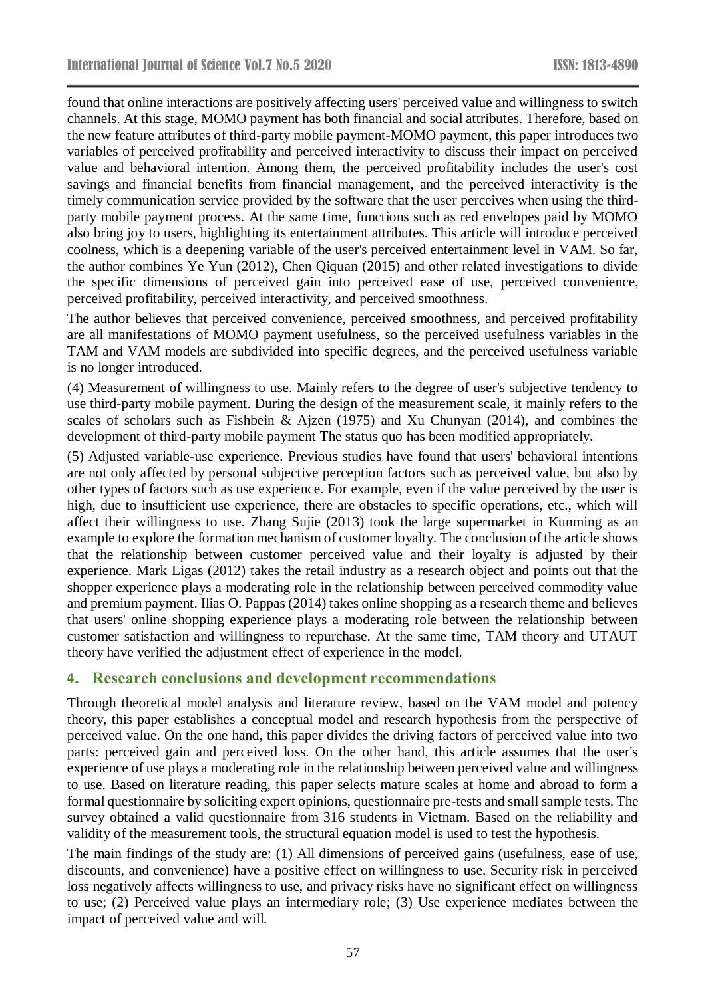found that online interactions are positively affecting users' perceived value and willingness to switch channels. At this stage, MOMO payment has both financial and social attributes. Therefore, based on the new feature attributes of third-party mobile payment-MOMO payment, this paper introduces two variables of perceived profitability and perceived interactivity to discuss their impact on perceived value and behavioral intention. Among them, the perceived profitability includes the user's cost savings and financial benefits from financial management, and the perceived interactivity is the timely communication service provided by the software that the user perceives when using the thirdparty mobile payment process. At the same time, functions such as red envelopes paid by MOMO also bring joy to users, highlighting its entertainment attributes. This article will introduce perceived coolness, which is a deepening variable of the user's perceived entertainment level in VAM. So far, the author combines Ye Yun (2012), Chen Qiquan (2015) and other related investigations to divide the specific dimensions of perceived gain into perceived ease of use, perceived convenience, perceived profitability, perceived interactivity, and perceived smoothness.

The author believes that perceived convenience, perceived smoothness, and perceived profitability are all manifestations of MOMO payment usefulness, so the perceived usefulness variables in the TAM and VAM models are subdivided into specific degrees, and the perceived usefulness variable is no longer introduced.

(4) Measurement of willingness to use. Mainly refers to the degree of user's subjective tendency to use third-party mobile payment. During the design of the measurement scale, it mainly refers to the scales of scholars such as Fishbein & Ajzen (1975) and Xu Chunyan (2014), and combines the development of third-party mobile payment The status quo has been modified appropriately.

(5) Adjusted variable-use experience. Previous studies have found that users' behavioral intentions are not only affected by personal subjective perception factors such as perceived value, but also by other types of factors such as use experience. For example, even if the value perceived by the user is high, due to insufficient use experience, there are obstacles to specific operations, etc., which will affect their willingness to use. Zhang Sujie (2013) took the large supermarket in Kunming as an example to explore the formation mechanism of customer loyalty. The conclusion of the article shows that the relationship between customer perceived value and their loyalty is adjusted by their experience. Mark Ligas (2012) takes the retail industry as a research object and points out that the shopper experience plays a moderating role in the relationship between perceived commodity value and premium payment. Ilias O. Pappas (2014) takes online shopping as a research theme and believes that users' online shopping experience plays a moderating role between the relationship between customer satisfaction and willingness to repurchase. At the same time, TAM theory and UTAUT theory have verified the adjustment effect of experience in the model.

# **4. Research conclusions and development recommendations**

Through theoretical model analysis and literature review, based on the VAM model and potency theory, this paper establishes a conceptual model and research hypothesis from the perspective of perceived value. On the one hand, this paper divides the driving factors of perceived value into two parts: perceived gain and perceived loss. On the other hand, this article assumes that the user's experience of use plays a moderating role in the relationship between perceived value and willingness to use. Based on literature reading, this paper selects mature scales at home and abroad to form a formal questionnaire by soliciting expert opinions, questionnaire pre-tests and small sample tests. The survey obtained a valid questionnaire from 316 students in Vietnam. Based on the reliability and validity of the measurement tools, the structural equation model is used to test the hypothesis.

The main findings of the study are: (1) All dimensions of perceived gains (usefulness, ease of use, discounts, and convenience) have a positive effect on willingness to use. Security risk in perceived loss negatively affects willingness to use, and privacy risks have no significant effect on willingness to use; (2) Perceived value plays an intermediary role; (3) Use experience mediates between the impact of perceived value and will.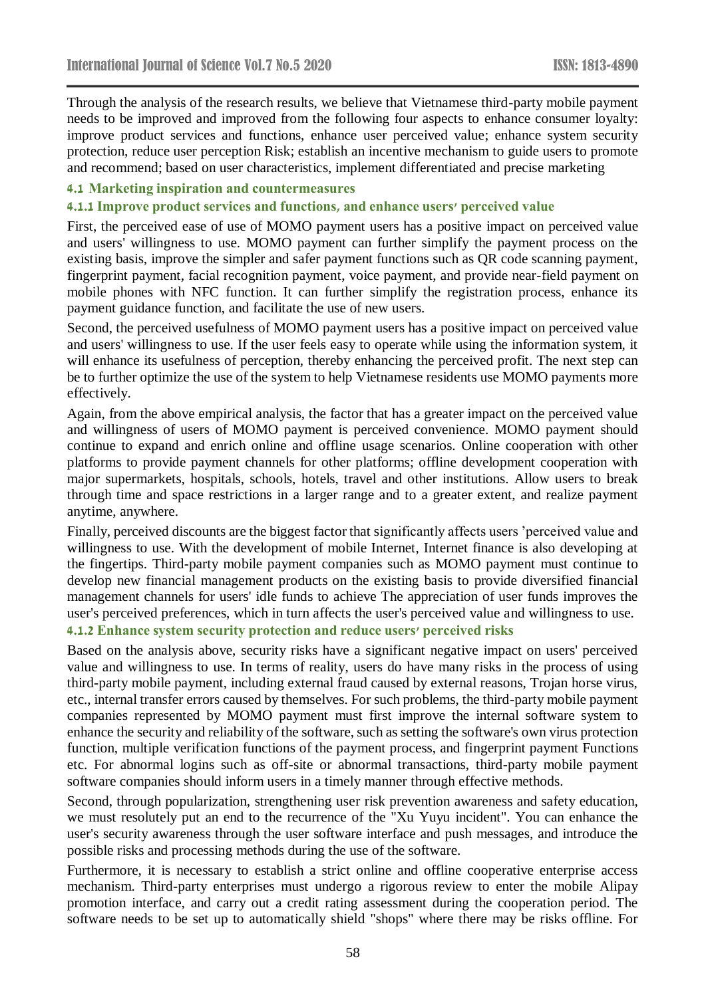Through the analysis of the research results, we believe that Vietnamese third-party mobile payment needs to be improved and improved from the following four aspects to enhance consumer loyalty: improve product services and functions, enhance user perceived value; enhance system security protection, reduce user perception Risk; establish an incentive mechanism to guide users to promote and recommend; based on user characteristics, implement differentiated and precise marketing

#### **4.1 Marketing inspiration and countermeasures**

#### **4.1.1 Improve product services and functions, and enhance users' perceived value**

First, the perceived ease of use of MOMO payment users has a positive impact on perceived value and users' willingness to use. MOMO payment can further simplify the payment process on the existing basis, improve the simpler and safer payment functions such as QR code scanning payment, fingerprint payment, facial recognition payment, voice payment, and provide near-field payment on mobile phones with NFC function. It can further simplify the registration process, enhance its payment guidance function, and facilitate the use of new users.

Second, the perceived usefulness of MOMO payment users has a positive impact on perceived value and users' willingness to use. If the user feels easy to operate while using the information system, it will enhance its usefulness of perception, thereby enhancing the perceived profit. The next step can be to further optimize the use of the system to help Vietnamese residents use MOMO payments more effectively.

Again, from the above empirical analysis, the factor that has a greater impact on the perceived value and willingness of users of MOMO payment is perceived convenience. MOMO payment should continue to expand and enrich online and offline usage scenarios. Online cooperation with other platforms to provide payment channels for other platforms; offline development cooperation with major supermarkets, hospitals, schools, hotels, travel and other institutions. Allow users to break through time and space restrictions in a larger range and to a greater extent, and realize payment anytime, anywhere.

Finally, perceived discounts are the biggest factor that significantly affects users 'perceived value and willingness to use. With the development of mobile Internet, Internet finance is also developing at the fingertips. Third-party mobile payment companies such as MOMO payment must continue to develop new financial management products on the existing basis to provide diversified financial management channels for users' idle funds to achieve The appreciation of user funds improves the user's perceived preferences, which in turn affects the user's perceived value and willingness to use. **4.1.2 Enhance system security protection and reduce users' perceived risks**

Based on the analysis above, security risks have a significant negative impact on users' perceived value and willingness to use. In terms of reality, users do have many risks in the process of using third-party mobile payment, including external fraud caused by external reasons, Trojan horse virus, etc., internal transfer errors caused by themselves. For such problems, the third-party mobile payment companies represented by MOMO payment must first improve the internal software system to enhance the security and reliability of the software, such as setting the software's own virus protection function, multiple verification functions of the payment process, and fingerprint payment Functions etc. For abnormal logins such as off-site or abnormal transactions, third-party mobile payment software companies should inform users in a timely manner through effective methods.

Second, through popularization, strengthening user risk prevention awareness and safety education, we must resolutely put an end to the recurrence of the "Xu Yuyu incident". You can enhance the user's security awareness through the user software interface and push messages, and introduce the possible risks and processing methods during the use of the software.

Furthermore, it is necessary to establish a strict online and offline cooperative enterprise access mechanism. Third-party enterprises must undergo a rigorous review to enter the mobile Alipay promotion interface, and carry out a credit rating assessment during the cooperation period. The software needs to be set up to automatically shield "shops" where there may be risks offline. For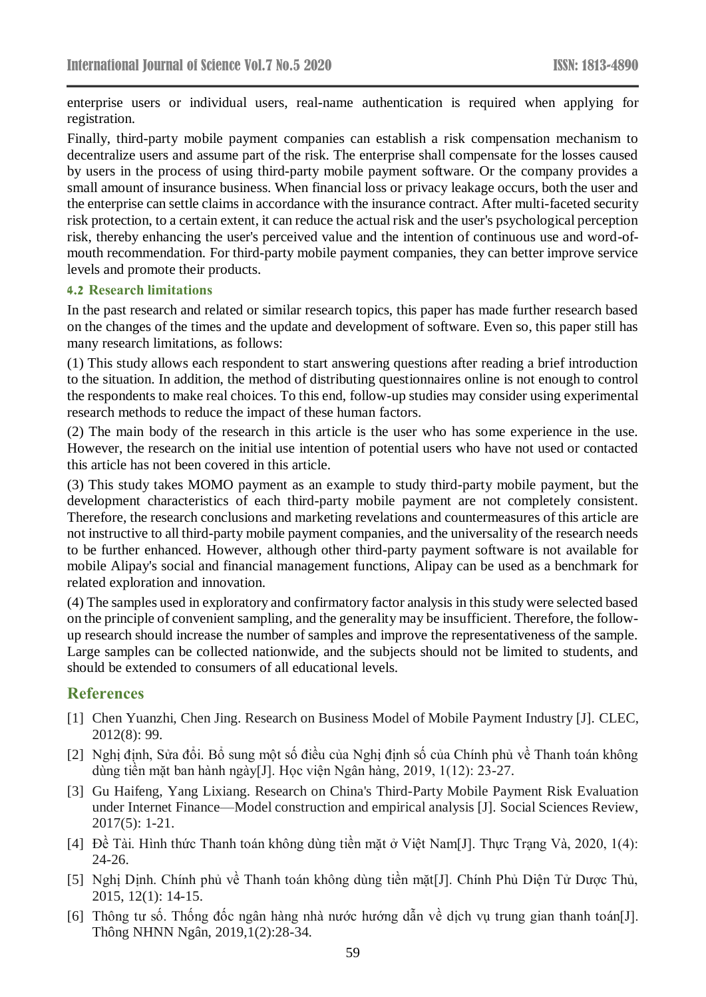enterprise users or individual users, real-name authentication is required when applying for registration.

Finally, third-party mobile payment companies can establish a risk compensation mechanism to decentralize users and assume part of the risk. The enterprise shall compensate for the losses caused by users in the process of using third-party mobile payment software. Or the company provides a small amount of insurance business. When financial loss or privacy leakage occurs, both the user and the enterprise can settle claims in accordance with the insurance contract. After multi-faceted security risk protection, to a certain extent, it can reduce the actual risk and the user's psychological perception risk, thereby enhancing the user's perceived value and the intention of continuous use and word-ofmouth recommendation. For third-party mobile payment companies, they can better improve service levels and promote their products.

#### **4.2 Research limitations**

In the past research and related or similar research topics, this paper has made further research based on the changes of the times and the update and development of software. Even so, this paper still has many research limitations, as follows:

(1) This study allows each respondent to start answering questions after reading a brief introduction to the situation. In addition, the method of distributing questionnaires online is not enough to control the respondents to make real choices. To this end, follow-up studies may consider using experimental research methods to reduce the impact of these human factors.

(2) The main body of the research in this article is the user who has some experience in the use. However, the research on the initial use intention of potential users who have not used or contacted this article has not been covered in this article.

(3) This study takes MOMO payment as an example to study third-party mobile payment, but the development characteristics of each third-party mobile payment are not completely consistent. Therefore, the research conclusions and marketing revelations and countermeasures of this article are not instructive to all third-party mobile payment companies, and the universality of the research needs to be further enhanced. However, although other third-party payment software is not available for mobile Alipay's social and financial management functions, Alipay can be used as a benchmark for related exploration and innovation.

(4) The samples used in exploratory and confirmatory factor analysis in this study were selected based on the principle of convenient sampling, and the generality may be insufficient. Therefore, the followup research should increase the number of samples and improve the representativeness of the sample. Large samples can be collected nationwide, and the subjects should not be limited to students, and should be extended to consumers of all educational levels.

# **References**

- [1] Chen Yuanzhi, Chen Jing. Research on Business Model of Mobile Payment Industry [J]. CLEC, 2012(8): 99.
- [2] Nghị định, Sửa đổi. Bổ sung một số điều của Nghị định số của Chính phủ về Thanh toán không dùng tiền mặt ban hành ngày[J]. Học viện Ngân hàng, 2019, 1(12): 23-27.
- [3] Gu Haifeng, Yang Lixiang. Research on China's Third-Party Mobile Payment Risk Evaluation under Internet Finance—Model construction and empirical analysis [J]. Social Sciences Review, 2017(5): 1-21.
- [4] Đề Tài. Hình thức Thanh toán không dùng tiền mặt ở Việt Nam[J]. Thực Trạng Và, 2020, 1(4): 24-26.
- [5] Nghị Dịnh. Chính phủ về Thanh toán không dùng tiền mặt[J]. Chính Phủ Diện Tử Dược Thủ, 2015, 12(1): 14-15.
- [6] Thông tư số. Thống đốc ngân hàng nhà nước hướng dẫn về dịch vụ trung gian thanh toán[J]. Thông NHNN Ngân, 2019,1(2):28-34.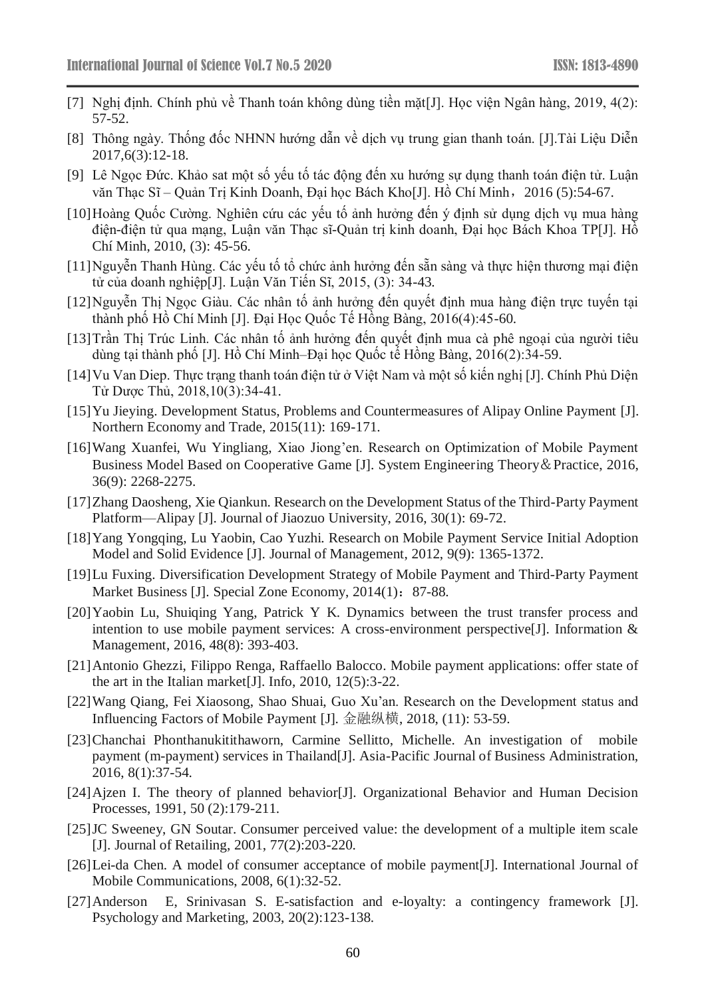- [7] Nghị định. Chính phủ về Thanh toán không dùng tiền mặt[J]. Học viện Ngân hàng, 2019, 4(2): 57-52.
- [8] Thông ngày. Thống đốc NHNN hướng dẫn về dịch vụ trung gian thanh toán. [J].Tài Liệu Diễn 2017,6(3):12-18.
- [9] Lê Ngọc Đức. Khảo sat một số yếu tố tác động đến xu hướng sự dụng thanh toán điện tử. Luận văn Thạc Sĩ – Quản Trị Kinh Doanh, Đại học Bách Kho[J]. Hồ Chí Minh, 2016 (5):54-67.
- [10]Hoàng Quốc Cường. Nghiên cứu các yếu tố ảnh hưởng đến ý định sử dụng dịch vụ mua hàng điện-điện tử qua mạng, Luận văn Thạc sĩ-Quản trị kinh doanh, Đại học Bách Khoa TP[J]. Hồ Chí Minh, 2010, (3): 45-56.
- [11]Nguyễn Thanh Hùng. Các yếu tố tổ chức ảnh hưởng đến sẵn sàng và thực hiện thương mại điện tử của doanh nghiệp[J]. Luận Văn Tiến Sĩ, 2015, (3): 34-43.
- [12]Nguyễn Thị Ngọc Giàu. Các nhân tố ảnh hưởng đến quyết định mua hàng điện trực tuyến tại thành phố Hồ Chí Minh [J]. Đại Học Quốc Tế Hồng Bàng, 2016(4):45-60.
- [13]Trần Thị Trúc Linh. Các nhân tố ảnh hưởng đến quyết định mua cà phê ngoại của người tiêu dùng tại thành phố [J]. Hồ Chí Minh–Đại học Quốc tế Hồng Bàng, 2016(2):34-59.
- [14]Vu Van Diep. Thực trạng thanh toán điện tử ở Việt Nam và một số kiến nghị [J]. Chính Phủ Diện Tử Dược Thủ, 2018,10(3):34-41.
- [15]Yu Jieying. Development Status, Problems and Countermeasures of Alipay Online Payment [J]. Northern Economy and Trade, 2015(11): 169-171.
- [16]Wang Xuanfei, Wu Yingliang, Xiao Jiong'en. Research on Optimization of Mobile Payment Business Model Based on Cooperative Game [J]. System Engineering Theory&Practice, 2016, 36(9): 2268-2275.
- [17]Zhang Daosheng, Xie Qiankun. Research on the Development Status of the Third-Party Payment Platform—Alipay [J]. Journal of Jiaozuo University, 2016, 30(1): 69-72.
- [18] Yang Yongqing, Lu Yaobin, Cao Yuzhi. Research on Mobile Payment Service Initial Adoption Model and Solid Evidence [J]. Journal of Management, 2012, 9(9): 1365-1372.
- [19]Lu Fuxing. Diversification Development Strategy of Mobile Payment and Third-Party Payment Market Business [J]. Special Zone Economy, 2014(1): 87-88.
- [20]Yaobin Lu, Shuiqing Yang, Patrick Y K. Dynamics between the trust transfer process and intention to use mobile payment services: A cross-environment perspective[J]. Information & Management, 2016, 48(8): 393-403.
- [21]Antonio Ghezzi, Filippo Renga, Raffaello Balocco. Mobile payment applications: offer state of the art in the Italian market[J]. Info, 2010, 12(5):3-22.
- [22]Wang Qiang, Fei Xiaosong, Shao Shuai, Guo Xu'an. Research on the Development status and Influencing Factors of Mobile Payment [J]. 金融纵横, 2018, (11): 53-59.
- [23]Chanchai Phonthanukitithaworn, Carmine Sellitto, Michelle. An investigation of mobile payment (m-payment) services in Thailand[J]. Asia-Pacific Journal of Business Administration, 2016, 8(1):37-54.
- [24]Ajzen I. The theory of planned behavior[J]. Organizational Behavior and Human Decision Processes, 1991, 50 (2):179-211.
- [25]JC Sweeney, GN Soutar. Consumer perceived value: the development of a multiple item scale [J]. Journal of Retailing, 2001, 77(2):203-220.
- [26]Lei-da Chen. A model of consumer acceptance of mobile payment[J]. International Journal of Mobile Communications, 2008, 6(1):32-52.
- [27]Anderson E, Srinivasan S. E-satisfaction and e-loyalty: a contingency framework [J]. Psychology and Marketing, 2003, 20(2):123-138.